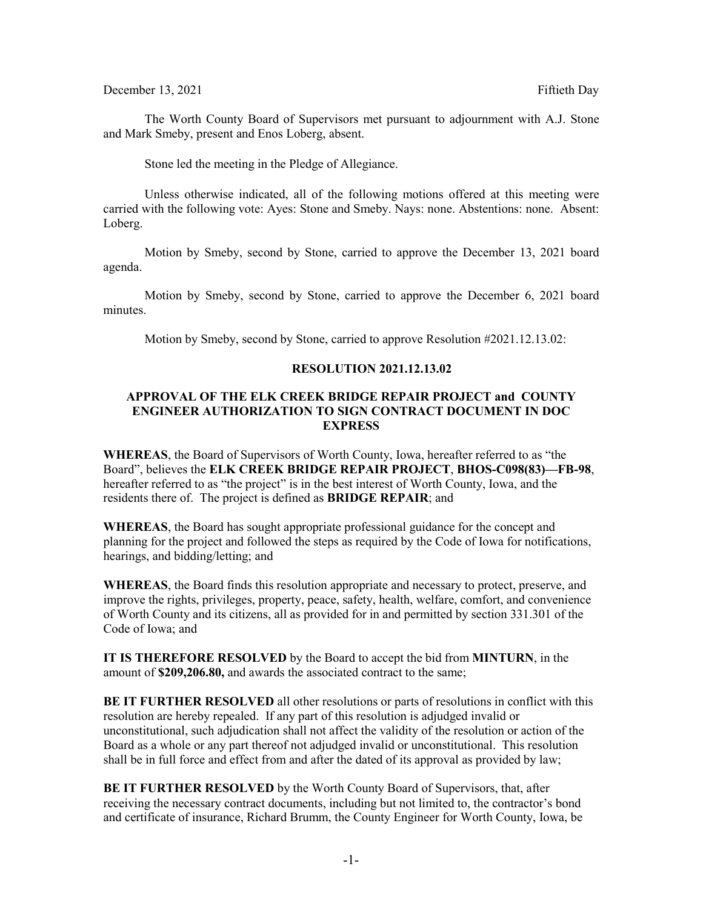## December 13, 2021 **Fiftieth Day**

The Worth County Board of Supervisors met pursuant to adjournment with A.J. Stone and Mark Smeby, present and Enos Loberg, absent.

Stone led the meeting in the Pledge of Allegiance.

Unless otherwise indicated, all of the following motions offered at this meeting were carried with the following vote: Ayes: Stone and Smeby. Nays: none. Abstentions: none. Absent: Loberg.

Motion by Smeby, second by Stone, carried to approve the December 13, 2021 board agenda.

Motion by Smeby, second by Stone, carried to approve the December 6, 2021 board minutes.

Motion by Smeby, second by Stone, carried to approve Resolution #2021.12.13.02:

## **RESOLUTION 2021.12.13.02**

# **APPROVAL OF THE ELK CREEK BRIDGE REPAIR PROJECT and COUNTY ENGINEER AUTHORIZATION TO SIGN CONTRACT DOCUMENT IN DOC EXPRESS**

**WHEREAS**, the Board of Supervisors of Worth County, Iowa, hereafter referred to as "the Board", believes the **ELK CREEK BRIDGE REPAIR PROJECT**, **BHOS-C098(83)—FB-98**, hereafter referred to as "the project" is in the best interest of Worth County, Iowa, and the residents there of. The project is defined as **BRIDGE REPAIR**; and

**WHEREAS**, the Board has sought appropriate professional guidance for the concept and planning for the project and followed the steps as required by the Code of Iowa for notifications, hearings, and bidding/letting; and

**WHEREAS**, the Board finds this resolution appropriate and necessary to protect, preserve, and improve the rights, privileges, property, peace, safety, health, welfare, comfort, and convenience of Worth County and its citizens, all as provided for in and permitted by section 331.301 of the Code of Iowa; and

**IT IS THEREFORE RESOLVED** by the Board to accept the bid from **MINTURN**, in the amount of **\$209,206.80,** and awards the associated contract to the same;

**BE IT FURTHER RESOLVED** all other resolutions or parts of resolutions in conflict with this resolution are hereby repealed. If any part of this resolution is adjudged invalid or unconstitutional, such adjudication shall not affect the validity of the resolution or action of the Board as a whole or any part thereof not adjudged invalid or unconstitutional. This resolution shall be in full force and effect from and after the dated of its approval as provided by law;

**BE IT FURTHER RESOLVED** by the Worth County Board of Supervisors, that, after receiving the necessary contract documents, including but not limited to, the contractor's bond and certificate of insurance, Richard Brumm, the County Engineer for Worth County, Iowa, be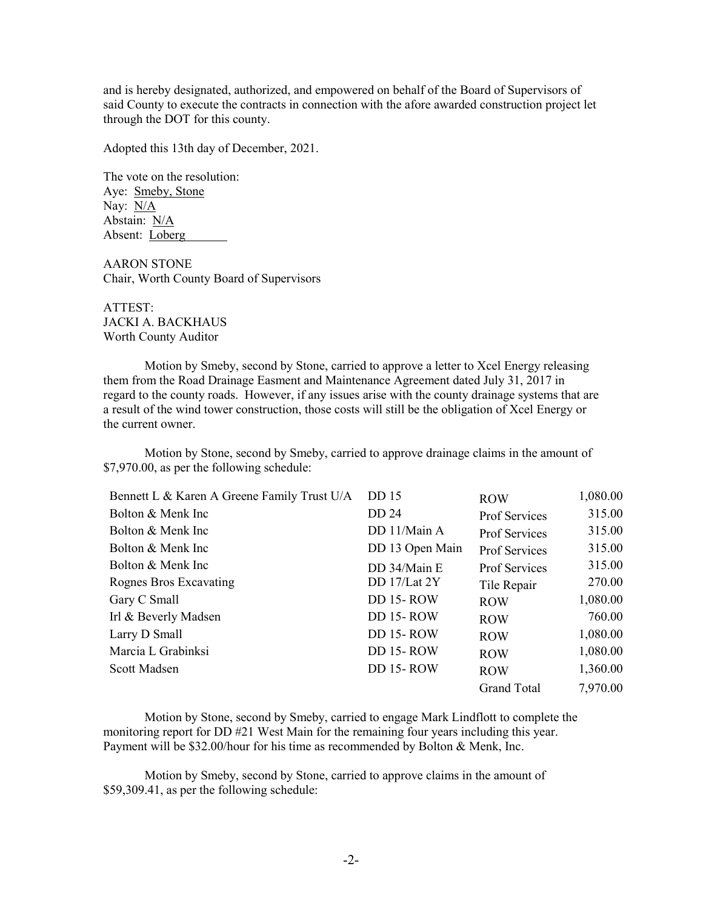and is hereby designated, authorized, and empowered on behalf of the Board of Supervisors of said County to execute the contracts in connection with the afore awarded construction project let through the DOT for this county.

Adopted this 13th day of December, 2021.

The vote on the resolution: Aye: Smeby, Stone Nay: N/A Abstain: N/A Absent: Loberg

AARON STONE Chair, Worth County Board of Supervisors

ATTEST: JACKI A. BACKHAUS Worth County Auditor

Motion by Smeby, second by Stone, carried to approve a letter to Xcel Energy releasing them from the Road Drainage Easment and Maintenance Agreement dated July 31, 2017 in regard to the county roads. However, if any issues arise with the county drainage systems that are a result of the wind tower construction, those costs will still be the obligation of Xcel Energy or the current owner.

Motion by Stone, second by Smeby, carried to approve drainage claims in the amount of \$7,970.00, as per the following schedule:

| Bennett L & Karen A Greene Family Trust U/A | <b>DD</b> 15    | <b>ROW</b>           | 1,080.00 |
|---------------------------------------------|-----------------|----------------------|----------|
| Bolton & Menk Inc                           | DD 24           | Prof Services        | 315.00   |
| Bolton & Menk Inc.                          | DD 11/Main A    | <b>Prof Services</b> | 315.00   |
| Bolton & Menk Inc.                          | DD 13 Open Main | <b>Prof Services</b> | 315.00   |
| Bolton & Menk Inc                           | DD 34/Main E    | <b>Prof Services</b> | 315.00   |
| Rognes Bros Excavating                      | DD 17/Lat 2Y    | Tile Repair          | 270.00   |
| Gary C Small                                | DD 15-ROW       | <b>ROW</b>           | 1,080.00 |
| Irl & Beverly Madsen                        | DD 15-ROW       | <b>ROW</b>           | 760.00   |
| Larry D Small                               | DD 15-ROW       | <b>ROW</b>           | 1,080.00 |
| Marcia L Grabinksi                          | DD 15-ROW       | <b>ROW</b>           | 1,080.00 |
| Scott Madsen                                | DD 15-ROW       | <b>ROW</b>           | 1,360.00 |
|                                             |                 | <b>Grand Total</b>   | 7,970.00 |

Motion by Stone, second by Smeby, carried to engage Mark Lindflott to complete the monitoring report for DD #21 West Main for the remaining four years including this year. Payment will be \$32.00/hour for his time as recommended by Bolton & Menk, Inc.

Motion by Smeby, second by Stone, carried to approve claims in the amount of \$59,309.41, as per the following schedule: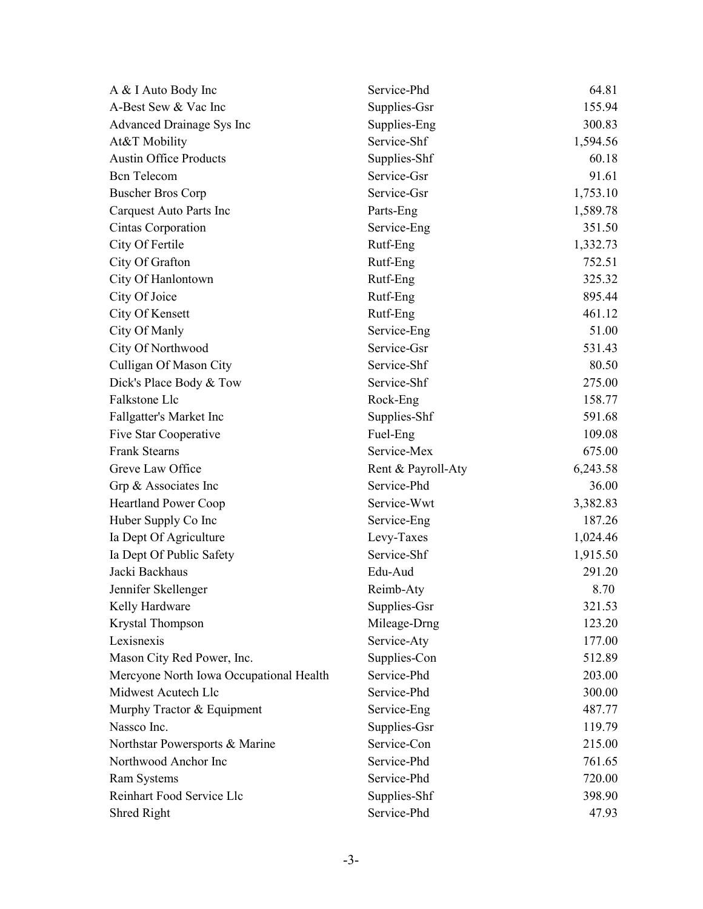| A & I Auto Body Inc                     | Service-Phd        | 64.81    |
|-----------------------------------------|--------------------|----------|
| A-Best Sew & Vac Inc                    | Supplies-Gsr       | 155.94   |
| Advanced Drainage Sys Inc               | Supplies-Eng       | 300.83   |
| At&T Mobility                           | Service-Shf        | 1,594.56 |
| <b>Austin Office Products</b>           | Supplies-Shf       | 60.18    |
| <b>Bcn</b> Telecom                      | Service-Gsr        | 91.61    |
| <b>Buscher Bros Corp</b>                | Service-Gsr        | 1,753.10 |
| Carquest Auto Parts Inc                 | Parts-Eng          | 1,589.78 |
| Cintas Corporation                      | Service-Eng        | 351.50   |
| City Of Fertile                         | Rutf-Eng           | 1,332.73 |
| City Of Grafton                         | Rutf-Eng           | 752.51   |
| City Of Hanlontown                      | Rutf-Eng           | 325.32   |
| City Of Joice                           | Rutf-Eng           | 895.44   |
| City Of Kensett                         | Rutf-Eng           | 461.12   |
| City Of Manly                           | Service-Eng        | 51.00    |
| City Of Northwood                       | Service-Gsr        | 531.43   |
| Culligan Of Mason City                  | Service-Shf        | 80.50    |
| Dick's Place Body & Tow                 | Service-Shf        | 275.00   |
| Falkstone Llc                           | Rock-Eng           | 158.77   |
| Fallgatter's Market Inc                 | Supplies-Shf       | 591.68   |
| Five Star Cooperative                   | Fuel-Eng           | 109.08   |
| <b>Frank Stearns</b>                    | Service-Mex        | 675.00   |
| Greve Law Office                        | Rent & Payroll-Aty | 6,243.58 |
| Grp & Associates Inc                    | Service-Phd        | 36.00    |
| <b>Heartland Power Coop</b>             | Service-Wwt        | 3,382.83 |
| Huber Supply Co Inc                     | Service-Eng        | 187.26   |
| Ia Dept Of Agriculture                  | Levy-Taxes         | 1,024.46 |
| Ia Dept Of Public Safety                | Service-Shf        | 1,915.50 |
| Jacki Backhaus                          | Edu-Aud            | 291.20   |
| Jennifer Skellenger                     | Reimb-Aty          | 8.70     |
| Kelly Hardware                          | Supplies-Gsr       | 321.53   |
| Krystal Thompson                        | Mileage-Drng       | 123.20   |
| Lexisnexis                              | Service-Aty        | 177.00   |
| Mason City Red Power, Inc.              | Supplies-Con       | 512.89   |
| Mercyone North Iowa Occupational Health | Service-Phd        | 203.00   |
| Midwest Acutech Llc                     | Service-Phd        | 300.00   |
| Murphy Tractor & Equipment              | Service-Eng        | 487.77   |
| Nassco Inc.                             | Supplies-Gsr       | 119.79   |
| Northstar Powersports & Marine          | Service-Con        | 215.00   |
| Northwood Anchor Inc                    | Service-Phd        | 761.65   |
| Ram Systems                             | Service-Phd        | 720.00   |
| Reinhart Food Service Llc               | Supplies-Shf       | 398.90   |
| Shred Right                             | Service-Phd        | 47.93    |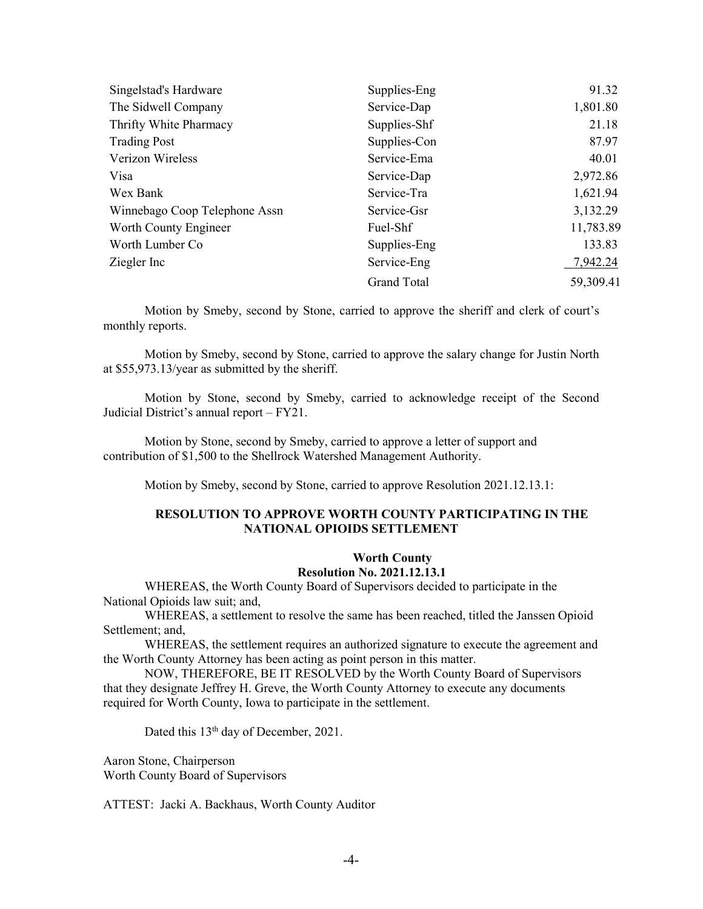| Singelstad's Hardware         | Supplies-Eng       | 91.32     |
|-------------------------------|--------------------|-----------|
| The Sidwell Company           | Service-Dap        | 1,801.80  |
| Thrifty White Pharmacy        | Supplies-Shf       | 21.18     |
| <b>Trading Post</b>           | Supplies-Con       | 87.97     |
| Verizon Wireless              | Service-Ema        | 40.01     |
| Visa                          | Service-Dap        | 2,972.86  |
| Wex Bank                      | Service-Tra        | 1,621.94  |
| Winnebago Coop Telephone Assn | Service-Gsr        | 3,132.29  |
| Worth County Engineer         | Fuel-Shf           | 11,783.89 |
| Worth Lumber Co               | Supplies-Eng       | 133.83    |
| Ziegler Inc                   | Service-Eng        | 7,942.24  |
|                               | <b>Grand Total</b> | 59,309.41 |

Motion by Smeby, second by Stone, carried to approve the sheriff and clerk of court's monthly reports.

Motion by Smeby, second by Stone, carried to approve the salary change for Justin North at \$55,973.13/year as submitted by the sheriff.

Motion by Stone, second by Smeby, carried to acknowledge receipt of the Second Judicial District's annual report – FY21.

Motion by Stone, second by Smeby, carried to approve a letter of support and contribution of \$1,500 to the Shellrock Watershed Management Authority.

Motion by Smeby, second by Stone, carried to approve Resolution 2021.12.13.1:

## **RESOLUTION TO APPROVE WORTH COUNTY PARTICIPATING IN THE NATIONAL OPIOIDS SETTLEMENT**

#### **Worth County**

## **Resolution No. 2021.12.13.1**

WHEREAS, the Worth County Board of Supervisors decided to participate in the National Opioids law suit; and,

WHEREAS, a settlement to resolve the same has been reached, titled the Janssen Opioid Settlement; and,

WHEREAS, the settlement requires an authorized signature to execute the agreement and the Worth County Attorney has been acting as point person in this matter.

NOW, THEREFORE, BE IT RESOLVED by the Worth County Board of Supervisors that they designate Jeffrey H. Greve, the Worth County Attorney to execute any documents required for Worth County, Iowa to participate in the settlement.

Dated this 13<sup>th</sup> day of December, 2021.

Aaron Stone, Chairperson Worth County Board of Supervisors

ATTEST: Jacki A. Backhaus, Worth County Auditor